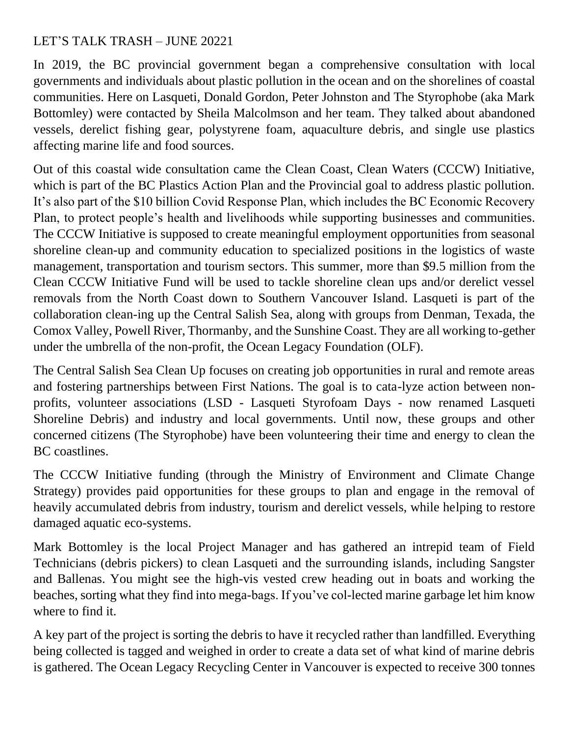## LET'S TALK TRASH – JUNE 20221

In 2019, the BC provincial government began a comprehensive consultation with local governments and individuals about plastic pollution in the ocean and on the shorelines of coastal communities. Here on Lasqueti, Donald Gordon, Peter Johnston and The Styrophobe (aka Mark Bottomley) were contacted by Sheila Malcolmson and her team. They talked about abandoned vessels, derelict fishing gear, polystyrene foam, aquaculture debris, and single use plastics affecting marine life and food sources.

Out of this coastal wide consultation came the Clean Coast, Clean Waters (CCCW) Initiative, which is part of the BC Plastics Action Plan and the Provincial goal to address plastic pollution. It's also part of the \$10 billion Covid Response Plan, which includes the BC Economic Recovery Plan, to protect people's health and livelihoods while supporting businesses and communities. The CCCW Initiative is supposed to create meaningful employment opportunities from seasonal shoreline clean-up and community education to specialized positions in the logistics of waste management, transportation and tourism sectors. This summer, more than \$9.5 million from the Clean CCCW Initiative Fund will be used to tackle shoreline clean ups and/or derelict vessel removals from the North Coast down to Southern Vancouver Island. Lasqueti is part of the collaboration clean-ing up the Central Salish Sea, along with groups from Denman, Texada, the Comox Valley, Powell River, Thormanby, and the Sunshine Coast. They are all working to-gether under the umbrella of the non-profit, the Ocean Legacy Foundation (OLF).

The Central Salish Sea Clean Up focuses on creating job opportunities in rural and remote areas and fostering partnerships between First Nations. The goal is to cata-lyze action between nonprofits, volunteer associations (LSD - Lasqueti Styrofoam Days - now renamed Lasqueti Shoreline Debris) and industry and local governments. Until now, these groups and other concerned citizens (The Styrophobe) have been volunteering their time and energy to clean the BC coastlines.

The CCCW Initiative funding (through the Ministry of Environment and Climate Change Strategy) provides paid opportunities for these groups to plan and engage in the removal of heavily accumulated debris from industry, tourism and derelict vessels, while helping to restore damaged aquatic eco-systems.

Mark Bottomley is the local Project Manager and has gathered an intrepid team of Field Technicians (debris pickers) to clean Lasqueti and the surrounding islands, including Sangster and Ballenas. You might see the high-vis vested crew heading out in boats and working the beaches, sorting what they find into mega-bags. If you've col-lected marine garbage let him know where to find it.

A key part of the project is sorting the debris to have it recycled rather than landfilled. Everything being collected is tagged and weighed in order to create a data set of what kind of marine debris is gathered. The Ocean Legacy Recycling Center in Vancouver is expected to receive 300 tonnes